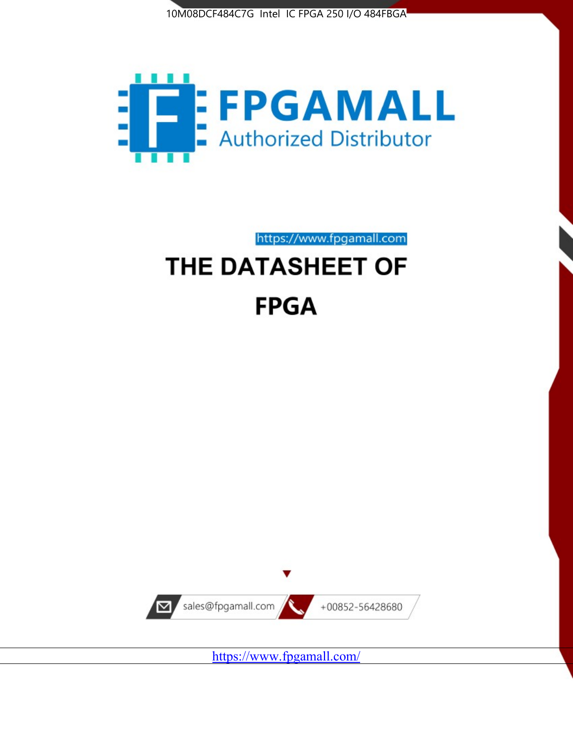



https://www.fpgamall.com THE DATASHEET OF

# **FPGA**



<https://www.fpgamall.com/>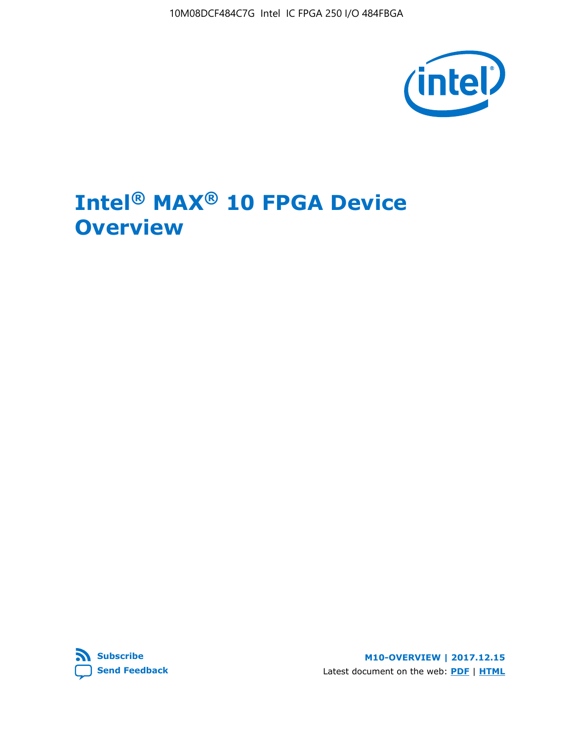10M08DCF484C7G Intel IC FPGA 250 I/O 484FBGA



# **Intel® MAX® 10 FPGA Device Overview**



**M10-OVERVIEW | 2017.12.15** Latest document on the web: **[PDF](https://www.altera.com/en_US/pdfs/literature/hb/max-10/m10_overview.pdf)** | **[HTML](https://www.altera.com/documentation/myt1396938463674.html)**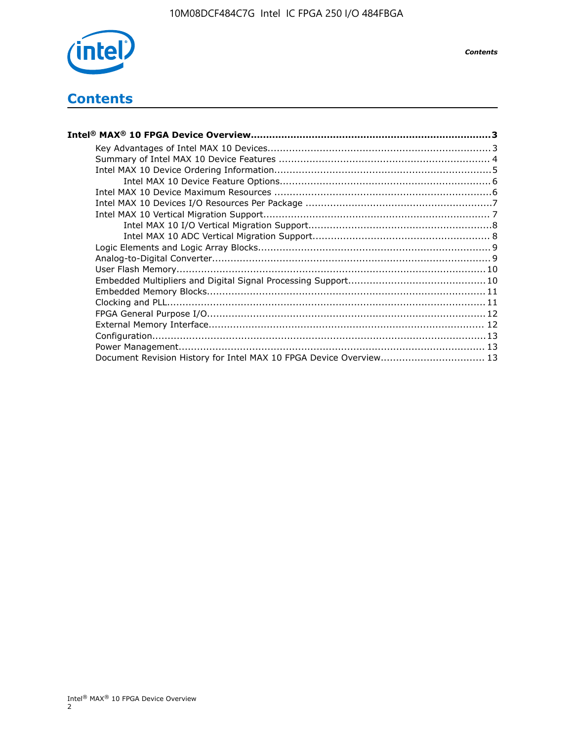

# **Contents**

| Intel® MAX® 10 FPGA Device Overview……………………………………………………………………………3  |  |
|--------------------------------------------------------------------|--|
|                                                                    |  |
|                                                                    |  |
|                                                                    |  |
|                                                                    |  |
|                                                                    |  |
|                                                                    |  |
|                                                                    |  |
|                                                                    |  |
|                                                                    |  |
|                                                                    |  |
|                                                                    |  |
|                                                                    |  |
|                                                                    |  |
|                                                                    |  |
|                                                                    |  |
|                                                                    |  |
|                                                                    |  |
|                                                                    |  |
|                                                                    |  |
| Document Revision History for Intel MAX 10 FPGA Device Overview 13 |  |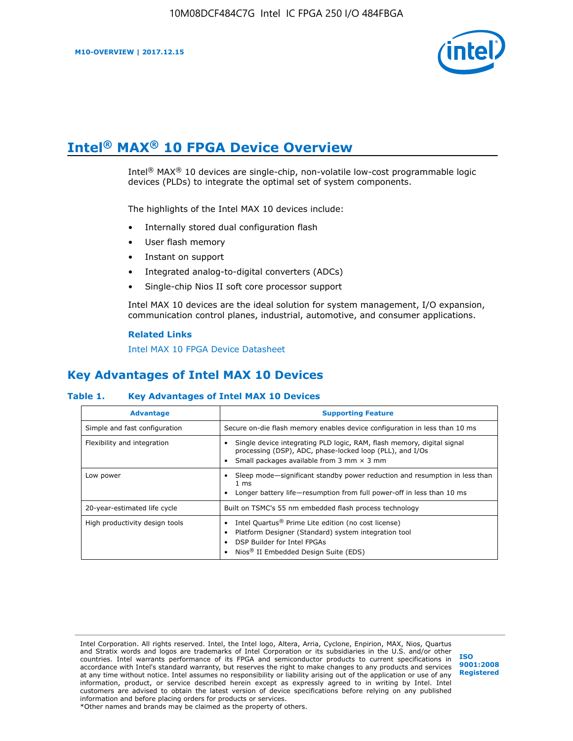

# **Intel® MAX® 10 FPGA Device Overview**

Intel® MAX® 10 devices are single-chip, non-volatile low-cost programmable logic devices (PLDs) to integrate the optimal set of system components.

The highlights of the Intel MAX 10 devices include:

- Internally stored dual configuration flash
- User flash memory
- Instant on support
- Integrated analog-to-digital converters (ADCs)
- Single-chip Nios II soft core processor support

Intel MAX 10 devices are the ideal solution for system management, I/O expansion, communication control planes, industrial, automotive, and consumer applications.

#### **Related Links**

[Intel MAX 10 FPGA Device Datasheet](https://www.altera.com/documentation/mcn1397700832153.html#mcn1397643748870)

## **Key Advantages of Intel MAX 10 Devices**

#### **Table 1. Key Advantages of Intel MAX 10 Devices**

| <b>Advantage</b>               | <b>Supporting Feature</b>                                                                                                                                                                                  |
|--------------------------------|------------------------------------------------------------------------------------------------------------------------------------------------------------------------------------------------------------|
| Simple and fast configuration  | Secure on-die flash memory enables device configuration in less than 10 ms                                                                                                                                 |
| Flexibility and integration    | Single device integrating PLD logic, RAM, flash memory, digital signal<br>processing (DSP), ADC, phase-locked loop (PLL), and I/Os<br>Small packages available from 3 mm $\times$ 3 mm                     |
| Low power                      | Sleep mode—significant standby power reduction and resumption in less than<br>$1 \text{ ms}$<br>Longer battery life-resumption from full power-off in less than 10 ms                                      |
| 20-year-estimated life cycle   | Built on TSMC's 55 nm embedded flash process technology                                                                                                                                                    |
| High productivity design tools | Intel Quartus <sup>®</sup> Prime Lite edition (no cost license)<br>Platform Designer (Standard) system integration tool<br>DSP Builder for Intel FPGAs<br>Nios <sup>®</sup> II Embedded Design Suite (EDS) |

Intel Corporation. All rights reserved. Intel, the Intel logo, Altera, Arria, Cyclone, Enpirion, MAX, Nios, Quartus and Stratix words and logos are trademarks of Intel Corporation or its subsidiaries in the U.S. and/or other countries. Intel warrants performance of its FPGA and semiconductor products to current specifications in accordance with Intel's standard warranty, but reserves the right to make changes to any products and services at any time without notice. Intel assumes no responsibility or liability arising out of the application or use of any information, product, or service described herein except as expressly agreed to in writing by Intel. Intel customers are advised to obtain the latest version of device specifications before relying on any published information and before placing orders for products or services. \*Other names and brands may be claimed as the property of others.

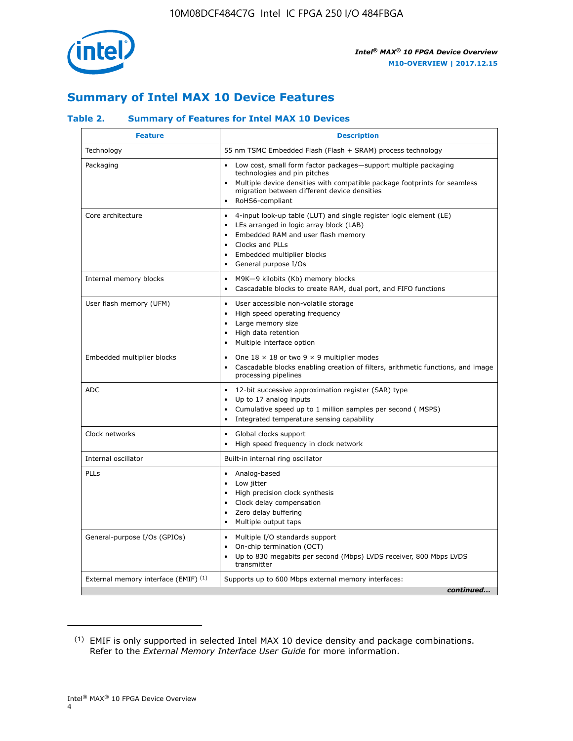

## **Summary of Intel MAX 10 Device Features**

#### **Table 2. Summary of Features for Intel MAX 10 Devices**

| <b>Feature</b>                       | <b>Description</b>                                                                                                                                                                                                                                                                                         |
|--------------------------------------|------------------------------------------------------------------------------------------------------------------------------------------------------------------------------------------------------------------------------------------------------------------------------------------------------------|
| Technology                           | 55 nm TSMC Embedded Flash (Flash + SRAM) process technology                                                                                                                                                                                                                                                |
| Packaging                            | Low cost, small form factor packages-support multiple packaging<br>technologies and pin pitches<br>Multiple device densities with compatible package footprints for seamless<br>migration between different device densities<br>RoHS6-compliant                                                            |
| Core architecture                    | 4-input look-up table (LUT) and single register logic element (LE)<br>$\bullet$<br>LEs arranged in logic array block (LAB)<br>$\bullet$<br>Embedded RAM and user flash memory<br>$\bullet$<br>Clocks and PLLs<br>$\bullet$<br>Embedded multiplier blocks<br>$\bullet$<br>General purpose I/Os<br>$\bullet$ |
| Internal memory blocks               | M9K-9 kilobits (Kb) memory blocks<br>$\bullet$<br>Cascadable blocks to create RAM, dual port, and FIFO functions<br>$\bullet$                                                                                                                                                                              |
| User flash memory (UFM)              | User accessible non-volatile storage<br>$\bullet$<br>High speed operating frequency<br>$\bullet$<br>Large memory size<br>High data retention<br>$\bullet$<br>Multiple interface option                                                                                                                     |
| Embedded multiplier blocks           | One $18 \times 18$ or two 9 $\times$ 9 multiplier modes<br>$\bullet$<br>Cascadable blocks enabling creation of filters, arithmetic functions, and image<br>processing pipelines                                                                                                                            |
| <b>ADC</b>                           | 12-bit successive approximation register (SAR) type<br>$\bullet$<br>Up to 17 analog inputs<br>$\bullet$<br>Cumulative speed up to 1 million samples per second (MSPS)<br>Integrated temperature sensing capability<br>$\bullet$                                                                            |
| Clock networks                       | Global clocks support<br>$\bullet$<br>High speed frequency in clock network                                                                                                                                                                                                                                |
| Internal oscillator                  | Built-in internal ring oscillator                                                                                                                                                                                                                                                                          |
| PLLs                                 | • Analog-based<br>Low jitter<br>$\bullet$<br>High precision clock synthesis<br>$\bullet$<br>Clock delay compensation<br>$\bullet$<br>Zero delay buffering<br>$\bullet$<br>Multiple output taps<br>$\bullet$                                                                                                |
| General-purpose I/Os (GPIOs)         | • Multiple I/O standards support<br>On-chip termination (OCT)<br>$\bullet$<br>Up to 830 megabits per second (Mbps) LVDS receiver, 800 Mbps LVDS<br>transmitter                                                                                                                                             |
| External memory interface (EMIF) (1) | Supports up to 600 Mbps external memory interfaces:<br>continued                                                                                                                                                                                                                                           |

<sup>(1)</sup> EMIF is only supported in selected Intel MAX 10 device density and package combinations. Refer to the *External Memory Interface User Guide* for more information.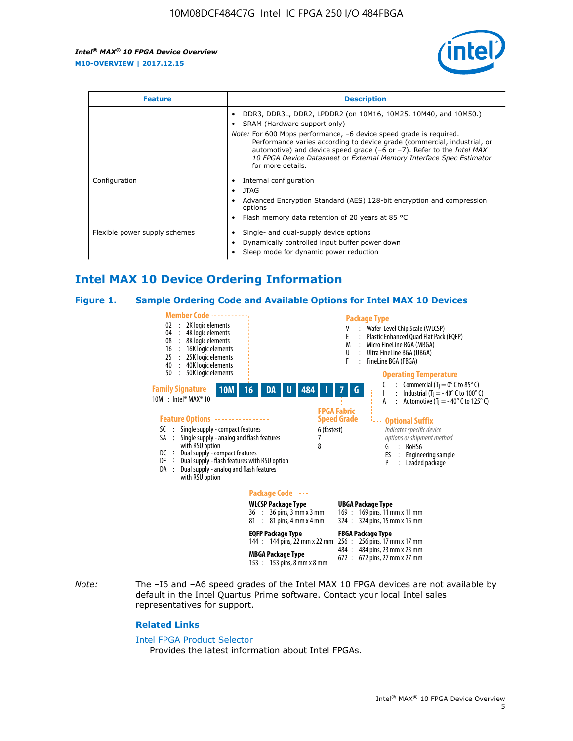

| <b>Feature</b>                | <b>Description</b>                                                                                                                                                                                                                                                                                                                                                                                                            |  |  |  |
|-------------------------------|-------------------------------------------------------------------------------------------------------------------------------------------------------------------------------------------------------------------------------------------------------------------------------------------------------------------------------------------------------------------------------------------------------------------------------|--|--|--|
|                               | DDR3, DDR3L, DDR2, LPDDR2 (on 10M16, 10M25, 10M40, and 10M50.)<br>SRAM (Hardware support only)<br><i>Note:</i> For 600 Mbps performance, -6 device speed grade is required.<br>Performance varies according to device grade (commercial, industrial, or<br>automotive) and device speed grade (-6 or -7). Refer to the Intel MAX<br>10 FPGA Device Datasheet or External Memory Interface Spec Estimator<br>for more details. |  |  |  |
| Configuration                 | Internal configuration<br>JTAG<br>٠<br>Advanced Encryption Standard (AES) 128-bit encryption and compression<br>options<br>Flash memory data retention of 20 years at 85 $^{\circ}$ C                                                                                                                                                                                                                                         |  |  |  |
| Flexible power supply schemes | Single- and dual-supply device options<br>Dynamically controlled input buffer power down<br>Sleep mode for dynamic power reduction                                                                                                                                                                                                                                                                                            |  |  |  |

## **Intel MAX 10 Device Ordering Information**

#### **Figure 1. Sample Ordering Code and Available Options for Intel MAX 10 Devices**



*Note:* The –I6 and –A6 speed grades of the Intel MAX 10 FPGA devices are not available by default in the Intel Quartus Prime software. Contact your local Intel sales representatives for support.

#### **Related Links**

#### [Intel FPGA Product Selector](http://www.altera.com/products/selector/psg-selector.html)

Provides the latest information about Intel FPGAs.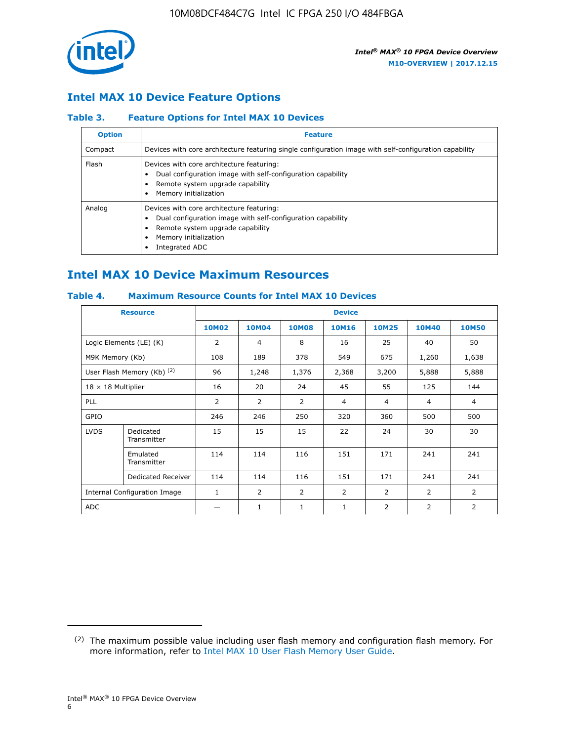

## **Intel MAX 10 Device Feature Options**

#### **Table 3. Feature Options for Intel MAX 10 Devices**

| <b>Option</b> | <b>Feature</b>                                                                                                                                                                          |
|---------------|-----------------------------------------------------------------------------------------------------------------------------------------------------------------------------------------|
| Compact       | Devices with core architecture featuring single configuration image with self-configuration capability                                                                                  |
| Flash         | Devices with core architecture featuring:<br>Dual configuration image with self-configuration capability<br>Remote system upgrade capability<br>Memory initialization                   |
| Analog        | Devices with core architecture featuring:<br>Dual configuration image with self-configuration capability<br>Remote system upgrade capability<br>Memory initialization<br>Integrated ADC |

## **Intel MAX 10 Device Maximum Resources**

#### **Table 4. Maximum Resource Counts for Intel MAX 10 Devices**

|                           | <b>Resource</b>              | <b>Device</b>  |              |              |                |                |                |                |
|---------------------------|------------------------------|----------------|--------------|--------------|----------------|----------------|----------------|----------------|
|                           |                              | <b>10M02</b>   | <b>10M04</b> | <b>10M08</b> | <b>10M16</b>   | <b>10M25</b>   | <b>10M40</b>   | <b>10M50</b>   |
|                           | Logic Elements (LE) (K)      | 2              | 4            | 8            | 16             | 25             | 40             | 50             |
| M9K Memory (Kb)           |                              | 108            | 189          | 378          | 549            | 675            | 1,260          | 1,638          |
|                           | User Flash Memory (Kb) (2)   | 96             | 1,248        | 1,376        | 2,368          | 3,200          | 5,888          | 5,888          |
| $18 \times 18$ Multiplier |                              | 16             | 20           | 24           | 45             | 55             | 125            | 144            |
| <b>PLL</b>                |                              | $\overline{2}$ | 2            | 2            | 4              | $\overline{4}$ | 4              | $\overline{4}$ |
| GPIO                      |                              | 246            | 246          | 250          | 320            | 360            | 500            | 500            |
| <b>LVDS</b>               | Dedicated<br>Transmitter     | 15             | 15           | 15           | 22             | 24             | 30             | 30             |
|                           | Emulated<br>Transmitter      | 114            | 114          | 116          | 151            | 171            | 241            | 241            |
|                           | Dedicated Receiver           | 114            | 114          | 116          | 151            | 171            | 241            | 241            |
|                           | Internal Configuration Image | $\mathbf{1}$   | 2            | 2            | $\overline{2}$ | 2              | $\overline{2}$ | $\overline{2}$ |
| <b>ADC</b>                |                              |                | 1            | 1            | 1              | 2              | 2              | $\overline{2}$ |

<sup>(2)</sup> The maximum possible value including user flash memory and configuration flash memory. For more information, refer to [Intel MAX 10 User Flash Memory User Guide](https://www.altera.com/documentation/vgo1395753117436.html#vgo1395811844282).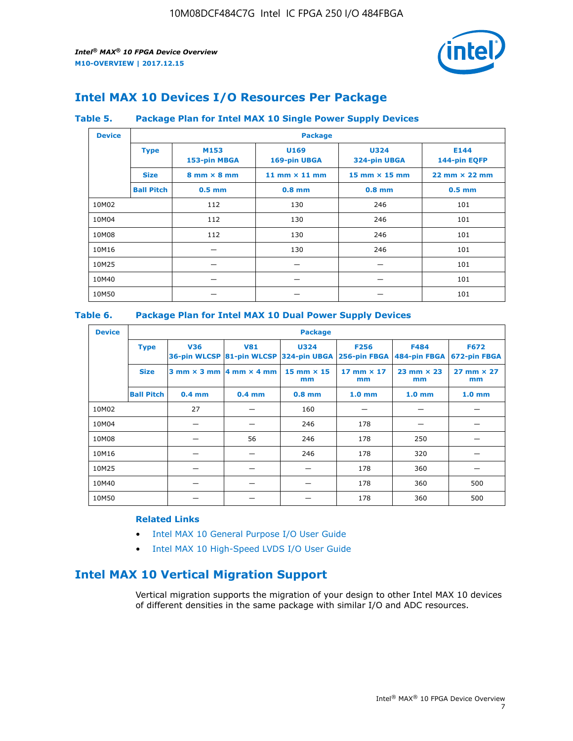

## **Intel MAX 10 Devices I/O Resources Per Package**

#### **Table 5. Package Plan for Intel MAX 10 Single Power Supply Devices**

| <b>Device</b> |                   | <b>Package</b>                     |                      |                             |                                      |  |  |  |
|---------------|-------------------|------------------------------------|----------------------|-----------------------------|--------------------------------------|--|--|--|
|               | <b>Type</b>       | M153<br>153-pin MBGA               | U169<br>169-pin UBGA | <b>U324</b><br>324-pin UBGA | E144<br>144-pin EQFP                 |  |  |  |
|               | <b>Size</b>       | $8 \text{ mm} \times 8 \text{ mm}$ | 11 mm $\times$ 11 mm | 15 mm $\times$ 15 mm        | $22 \text{ mm} \times 22 \text{ mm}$ |  |  |  |
|               | <b>Ball Pitch</b> | $0.5$ mm                           | $0.8$ mm             | $0.8$ mm                    | $0.5$ mm                             |  |  |  |
| 10M02         |                   | 112                                | 130                  | 246                         | 101                                  |  |  |  |
| 10M04         |                   | 112                                | 130                  | 246                         | 101                                  |  |  |  |
| 10M08         |                   | 112<br>130                         |                      | 246                         | 101                                  |  |  |  |
| 10M16         |                   |                                    | 130                  | 246                         | 101                                  |  |  |  |
| 10M25         |                   |                                    |                      |                             | 101                                  |  |  |  |
| 10M40         |                   | –                                  |                      |                             | 101                                  |  |  |  |
| 10M50         |                   |                                    |                      |                             | 101                                  |  |  |  |

#### **Table 6. Package Plan for Intel MAX 10 Dual Power Supply Devices**

| <b>Device</b> |                   | <b>Package</b> |                                            |                                                                    |                         |                           |                             |  |  |
|---------------|-------------------|----------------|--------------------------------------------|--------------------------------------------------------------------|-------------------------|---------------------------|-----------------------------|--|--|
|               | <b>Type</b>       | <b>V36</b>     | <b>V81</b>                                 | <b>U324</b><br>36-pin WLCSP 81-pin WLCSP 324-pin UBGA 256-pin FBGA | <b>F256</b>             | F484<br>484-pin FBGA      | <b>F672</b><br>672-pin FBGA |  |  |
|               | <b>Size</b>       |                | $3$ mm $\times$ 3 mm $ 4$ mm $\times$ 4 mm | $15$ mm $\times$ 15<br>mm                                          | 17 mm $\times$ 17<br>mm | $23$ mm $\times$ 23<br>mm | $27$ mm $\times$ 27<br>mm   |  |  |
|               | <b>Ball Pitch</b> | $0.4$ mm       | $0.4$ mm                                   | $0.8$ mm                                                           | 1.0 <sub>mm</sub>       | 1.0 <sub>mm</sub>         | 1.0 <sub>mm</sub>           |  |  |
| 10M02         |                   | 27             |                                            | 160                                                                |                         |                           |                             |  |  |
| 10M04         |                   |                |                                            | 246                                                                | 178                     |                           |                             |  |  |
| 10M08         |                   |                | 56                                         | 246                                                                | 178                     | 250                       |                             |  |  |
| 10M16         |                   |                |                                            | 246                                                                | 178                     | 320                       |                             |  |  |
| 10M25         |                   |                |                                            |                                                                    | 178                     | 360                       |                             |  |  |
| 10M40         |                   |                |                                            |                                                                    | 178                     | 360                       | 500                         |  |  |
| 10M50         |                   |                |                                            |                                                                    | 178                     | 360                       | 500                         |  |  |

#### **Related Links**

- [Intel MAX 10 General Purpose I/O User Guide](https://www.altera.com/documentation/sam1393999966669.html#sam1394000084476)
- [Intel MAX 10 High-Speed LVDS I/O User Guide](https://www.altera.com/documentation/sam1394433606063.html#sam1394433911642)

## **Intel MAX 10 Vertical Migration Support**

Vertical migration supports the migration of your design to other Intel MAX 10 devices of different densities in the same package with similar I/O and ADC resources.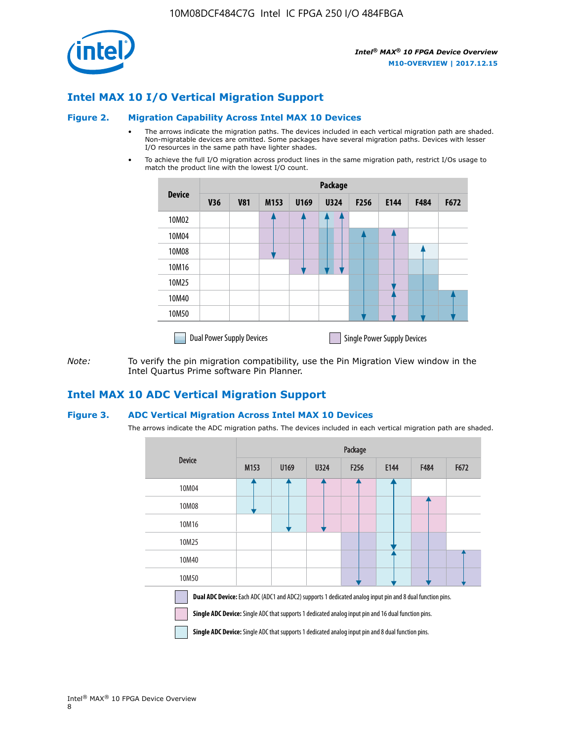

## **Intel MAX 10 I/O Vertical Migration Support**

#### **Figure 2. Migration Capability Across Intel MAX 10 Devices**

- The arrows indicate the migration paths. The devices included in each vertical migration path are shaded. Non-migratable devices are omitted. Some packages have several migration paths. Devices with lesser I/O resources in the same path have lighter shades.
- To achieve the full I/O migration across product lines in the same migration path, restrict I/Os usage to match the product line with the lowest I/O count.

|               | <b>Package</b>                   |            |      |      |             |                  |                                    |      |      |
|---------------|----------------------------------|------------|------|------|-------------|------------------|------------------------------------|------|------|
| <b>Device</b> | <b>V36</b>                       | <b>V81</b> | M153 | U169 | <b>U324</b> | F <sub>256</sub> | E144                               | F484 | F672 |
| 10M02         |                                  |            |      |      | 7           |                  |                                    |      |      |
| 10M04         |                                  |            |      |      |             |                  |                                    |      |      |
| 10M08         |                                  |            |      |      |             |                  |                                    |      |      |
| 10M16         |                                  |            |      |      |             |                  |                                    |      |      |
| 10M25         |                                  |            |      |      |             |                  |                                    |      |      |
| 10M40         |                                  |            |      |      |             |                  |                                    |      |      |
| 10M50         |                                  |            |      |      |             |                  |                                    |      |      |
|               | <b>Dual Power Supply Devices</b> |            |      |      |             |                  | <b>Single Power Supply Devices</b> |      |      |

*Note:* To verify the pin migration compatibility, use the Pin Migration View window in the Intel Quartus Prime software Pin Planner.

### **Intel MAX 10 ADC Vertical Migration Support**

#### **Figure 3. ADC Vertical Migration Across Intel MAX 10 Devices**

The arrows indicate the ADC migration paths. The devices included in each vertical migration path are shaded.

|                                                                                                                                                                                                                         | Package |      |      |                  |      |      |      |  |
|-------------------------------------------------------------------------------------------------------------------------------------------------------------------------------------------------------------------------|---------|------|------|------------------|------|------|------|--|
| <b>Device</b>                                                                                                                                                                                                           | M153    | U169 | U324 | F <sub>256</sub> | E144 | F484 | F672 |  |
| 10M04                                                                                                                                                                                                                   |         |      |      |                  |      |      |      |  |
| 10M08                                                                                                                                                                                                                   |         |      |      |                  |      |      |      |  |
| 10M16                                                                                                                                                                                                                   |         |      |      |                  |      |      |      |  |
| 10M25                                                                                                                                                                                                                   |         |      |      |                  |      |      |      |  |
| 10M40                                                                                                                                                                                                                   |         |      |      |                  |      |      |      |  |
| 10M50                                                                                                                                                                                                                   |         |      |      |                  |      |      |      |  |
| Dual ADC Device: Each ADC (ADC1 and ADC2) supports 1 dedicated analog input pin and 8 dual function pins.<br><b>Single ADC Device:</b> Single ADC that supports 1 dedicated analog input pin and 16 dual function pins. |         |      |      |                  |      |      |      |  |

**Single ADC Device:** Single ADC that supports 1 dedicated analog input pin and 8 dual function pins.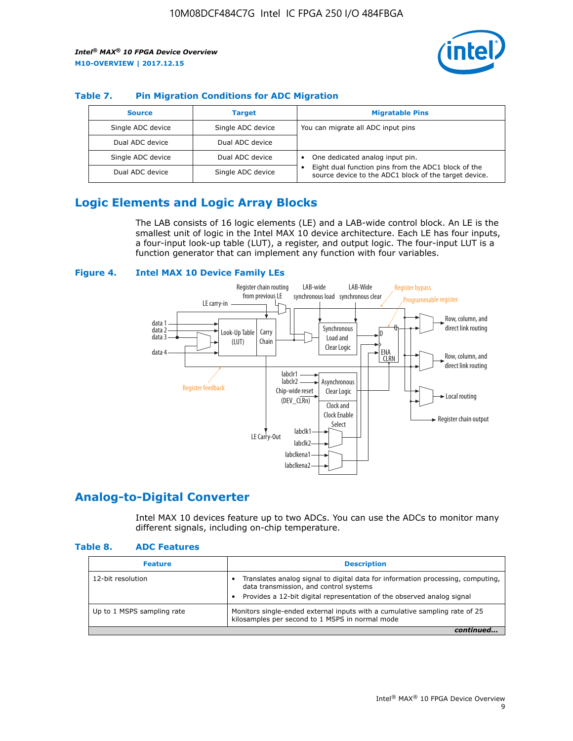

#### **Table 7. Pin Migration Conditions for ADC Migration**

| <b>Source</b>     | <b>Target</b>     | <b>Migratable Pins</b>                                                                                            |
|-------------------|-------------------|-------------------------------------------------------------------------------------------------------------------|
| Single ADC device | Single ADC device | You can migrate all ADC input pins                                                                                |
| Dual ADC device   | Dual ADC device   |                                                                                                                   |
| Single ADC device | Dual ADC device   | One dedicated analog input pin.                                                                                   |
| Dual ADC device   | Single ADC device | Eight dual function pins from the ADC1 block of the<br>٠<br>source device to the ADC1 block of the target device. |

## **Logic Elements and Logic Array Blocks**

The LAB consists of 16 logic elements (LE) and a LAB-wide control block. An LE is the smallest unit of logic in the Intel MAX 10 device architecture. Each LE has four inputs, a four-input look-up table (LUT), a register, and output logic. The four-input LUT is a function generator that can implement any function with four variables.

#### **Figure 4. Intel MAX 10 Device Family LEs**



## **Analog-to-Digital Converter**

Intel MAX 10 devices feature up to two ADCs. You can use the ADCs to monitor many different signals, including on-chip temperature.

#### **Table 8. ADC Features**

| <b>Feature</b>             | <b>Description</b>                                                                                                                                                                                  |
|----------------------------|-----------------------------------------------------------------------------------------------------------------------------------------------------------------------------------------------------|
| 12-bit resolution          | Translates analog signal to digital data for information processing, computing,<br>data transmission, and control systems<br>Provides a 12-bit digital representation of the observed analog signal |
| Up to 1 MSPS sampling rate | Monitors single-ended external inputs with a cumulative sampling rate of 25<br>kilosamples per second to 1 MSPS in normal mode                                                                      |
|                            |                                                                                                                                                                                                     |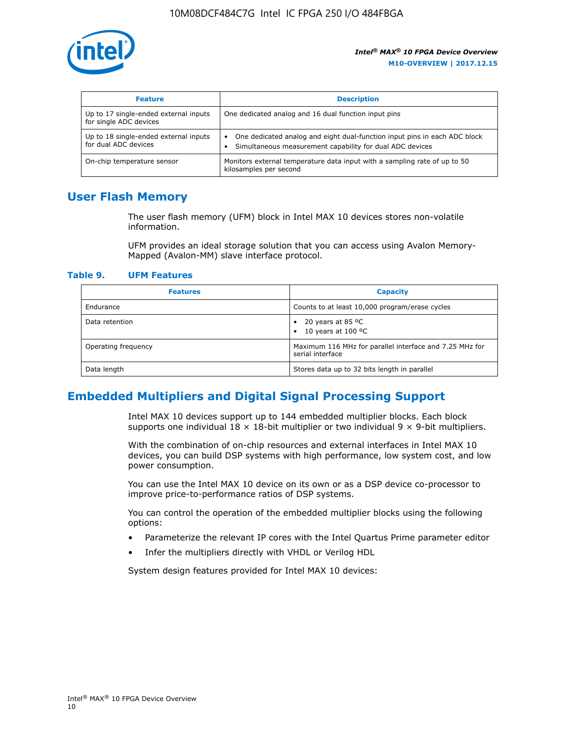

| <b>Feature</b>                                                  | <b>Description</b>                                                                                                                         |
|-----------------------------------------------------------------|--------------------------------------------------------------------------------------------------------------------------------------------|
| Up to 17 single-ended external inputs<br>for single ADC devices | One dedicated analog and 16 dual function input pins                                                                                       |
| Up to 18 single-ended external inputs<br>for dual ADC devices   | One dedicated analog and eight dual-function input pins in each ADC block<br>٠<br>Simultaneous measurement capability for dual ADC devices |
| On-chip temperature sensor                                      | Monitors external temperature data input with a sampling rate of up to 50<br>kilosamples per second                                        |

## **User Flash Memory**

The user flash memory (UFM) block in Intel MAX 10 devices stores non-volatile information.

UFM provides an ideal storage solution that you can access using Avalon Memory-Mapped (Avalon-MM) slave interface protocol.

#### **Table 9. UFM Features**

| <b>Features</b>     | <b>Capacity</b>                                                             |
|---------------------|-----------------------------------------------------------------------------|
| Endurance           | Counts to at least 10,000 program/erase cycles                              |
| Data retention      | 20 years at 85 $^{\circ}$ C<br>٠<br>10 years at 100 °C<br>$\bullet$         |
| Operating frequency | Maximum 116 MHz for parallel interface and 7.25 MHz for<br>serial interface |
| Data length         | Stores data up to 32 bits length in parallel                                |

## **Embedded Multipliers and Digital Signal Processing Support**

Intel MAX 10 devices support up to 144 embedded multiplier blocks. Each block supports one individual  $18 \times 18$ -bit multiplier or two individual  $9 \times 9$ -bit multipliers.

With the combination of on-chip resources and external interfaces in Intel MAX 10 devices, you can build DSP systems with high performance, low system cost, and low power consumption.

You can use the Intel MAX 10 device on its own or as a DSP device co-processor to improve price-to-performance ratios of DSP systems.

You can control the operation of the embedded multiplier blocks using the following options:

- Parameterize the relevant IP cores with the Intel Quartus Prime parameter editor
- Infer the multipliers directly with VHDL or Verilog HDL

System design features provided for Intel MAX 10 devices: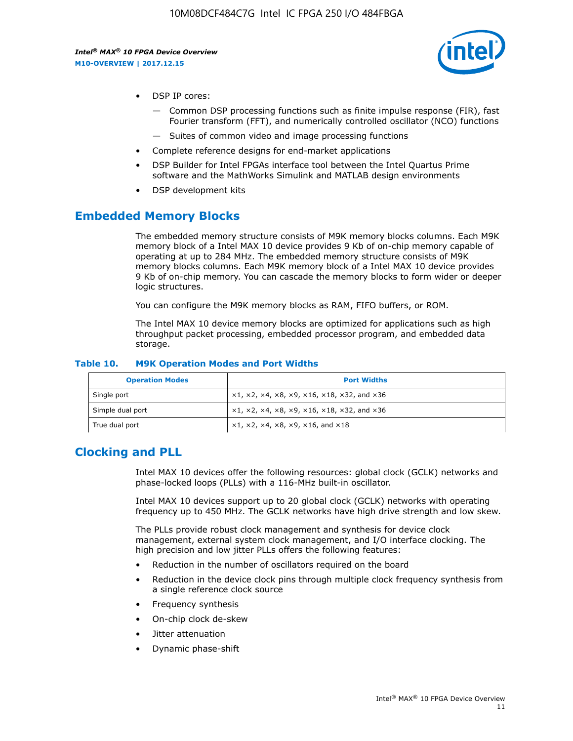

- DSP IP cores:
	- Common DSP processing functions such as finite impulse response (FIR), fast Fourier transform (FFT), and numerically controlled oscillator (NCO) functions
	- Suites of common video and image processing functions
- Complete reference designs for end-market applications
- DSP Builder for Intel FPGAs interface tool between the Intel Quartus Prime software and the MathWorks Simulink and MATLAB design environments
- DSP development kits

### **Embedded Memory Blocks**

The embedded memory structure consists of M9K memory blocks columns. Each M9K memory block of a Intel MAX 10 device provides 9 Kb of on-chip memory capable of operating at up to 284 MHz. The embedded memory structure consists of M9K memory blocks columns. Each M9K memory block of a Intel MAX 10 device provides 9 Kb of on-chip memory. You can cascade the memory blocks to form wider or deeper logic structures.

You can configure the M9K memory blocks as RAM, FIFO buffers, or ROM.

The Intel MAX 10 device memory blocks are optimized for applications such as high throughput packet processing, embedded processor program, and embedded data storage.

| <b>Operation Modes</b> | <b>Port Widths</b>                                                                       |
|------------------------|------------------------------------------------------------------------------------------|
| Single port            | $x1, x2, x4, x8, x9, x16, x18, x32, and x36$                                             |
| Simple dual port       | $x1, x2, x4, x8, x9, x16, x18, x32, and x36$                                             |
| True dual port         | $\times$ 1, $\times$ 2, $\times$ 4, $\times$ 8, $\times$ 9, $\times$ 16, and $\times$ 18 |

#### **Table 10. M9K Operation Modes and Port Widths**

## **Clocking and PLL**

Intel MAX 10 devices offer the following resources: global clock (GCLK) networks and phase-locked loops (PLLs) with a 116-MHz built-in oscillator.

Intel MAX 10 devices support up to 20 global clock (GCLK) networks with operating frequency up to 450 MHz. The GCLK networks have high drive strength and low skew.

The PLLs provide robust clock management and synthesis for device clock management, external system clock management, and I/O interface clocking. The high precision and low jitter PLLs offers the following features:

- Reduction in the number of oscillators required on the board
- Reduction in the device clock pins through multiple clock frequency synthesis from a single reference clock source
- Frequency synthesis
- On-chip clock de-skew
- Jitter attenuation
- Dynamic phase-shift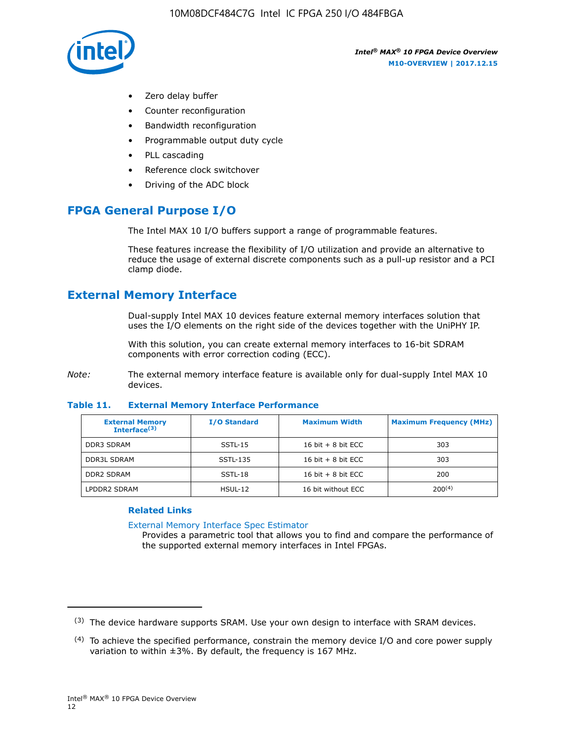

- Zero delay buffer
- Counter reconfiguration
- Bandwidth reconfiguration
- Programmable output duty cycle
- PLL cascading
- Reference clock switchover
- Driving of the ADC block

## **FPGA General Purpose I/O**

The Intel MAX 10 I/O buffers support a range of programmable features.

These features increase the flexibility of I/O utilization and provide an alternative to reduce the usage of external discrete components such as a pull-up resistor and a PCI clamp diode.

## **External Memory Interface**

Dual-supply Intel MAX 10 devices feature external memory interfaces solution that uses the I/O elements on the right side of the devices together with the UniPHY IP.

With this solution, you can create external memory interfaces to 16-bit SDRAM components with error correction coding (ECC).

*Note:* The external memory interface feature is available only for dual-supply Intel MAX 10 devices.

#### **Table 11. External Memory Interface Performance**

| <b>External Memory</b><br>Interface <sup>(3)</sup> | <b>I/O Standard</b> | <b>Maximum Width</b> | <b>Maximum Frequency (MHz)</b> |
|----------------------------------------------------|---------------------|----------------------|--------------------------------|
| <b>DDR3 SDRAM</b>                                  | SSTL-15             | 16 bit $+8$ bit ECC  | 303                            |
| <b>DDR3L SDRAM</b>                                 | SSTL-135            | 16 bit $+8$ bit ECC  | 303                            |
| <b>DDR2 SDRAM</b>                                  | SSTL-18             | 16 bit $+8$ bit ECC  | 200                            |
| LPDDR2 SDRAM                                       | $H SUL-12$          | 16 bit without ECC   | $200^{(4)}$                    |

#### **Related Links**

[External Memory Interface Spec Estimator](http://www.altera.com/technology/memory/estimator/mem-emif-index.html)

Provides a parametric tool that allows you to find and compare the performance of the supported external memory interfaces in Intel FPGAs.

 $(3)$  The device hardware supports SRAM. Use your own design to interface with SRAM devices.

 $(4)$  To achieve the specified performance, constrain the memory device I/O and core power supply variation to within ±3%. By default, the frequency is 167 MHz.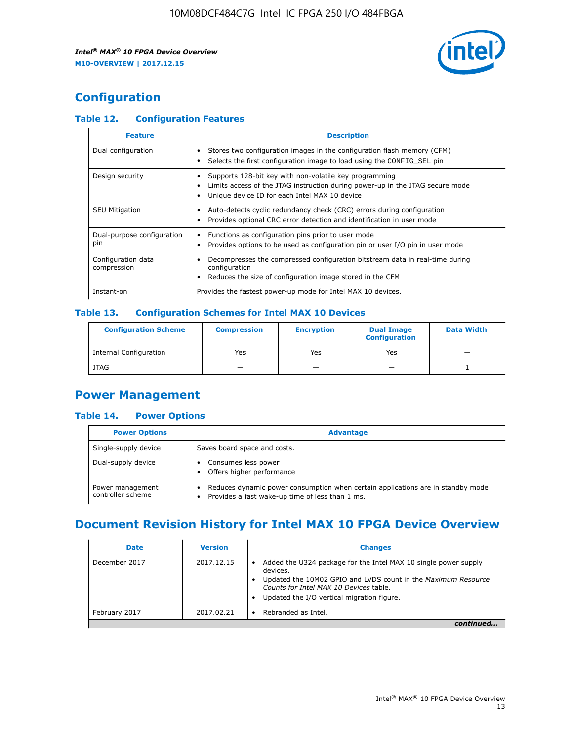

## **Configuration**

#### **Table 12. Configuration Features**

| <b>Feature</b>                    | <b>Description</b>                                                                                                                                                                       |
|-----------------------------------|------------------------------------------------------------------------------------------------------------------------------------------------------------------------------------------|
| Dual configuration                | Stores two configuration images in the configuration flash memory (CFM)<br>Selects the first configuration image to load using the CONFIG SEL pin                                        |
| Design security                   | Supports 128-bit key with non-volatile key programming<br>Limits access of the JTAG instruction during power-up in the JTAG secure mode<br>Unique device ID for each Intel MAX 10 device |
| <b>SEU Mitigation</b>             | Auto-detects cyclic redundancy check (CRC) errors during configuration<br>Provides optional CRC error detection and identification in user mode                                          |
| Dual-purpose configuration<br>pin | Functions as configuration pins prior to user mode<br>Provides options to be used as configuration pin or user I/O pin in user mode                                                      |
| Configuration data<br>compression | Decompresses the compressed configuration bitstream data in real-time during<br>configuration<br>Reduces the size of configuration image stored in the CFM                               |
| Instant-on                        | Provides the fastest power-up mode for Intel MAX 10 devices.                                                                                                                             |

#### **Table 13. Configuration Schemes for Intel MAX 10 Devices**

| <b>Configuration Scheme</b>   | <b>Compression</b>       | <b>Encryption</b> | <b>Dual Image</b><br><b>Configuration</b> | <b>Data Width</b> |
|-------------------------------|--------------------------|-------------------|-------------------------------------------|-------------------|
| <b>Internal Configuration</b> | Yes                      | Yes               | Yes                                       |                   |
| <b>JTAG</b>                   | $\overline{\phantom{a}}$ |                   | -                                         |                   |

## **Power Management**

#### **Table 14. Power Options**

| <b>Power Options</b>                  | <b>Advantage</b>                                                                                                                                |  |
|---------------------------------------|-------------------------------------------------------------------------------------------------------------------------------------------------|--|
| Single-supply device                  | Saves board space and costs.                                                                                                                    |  |
| Dual-supply device                    | Consumes less power<br>Offers higher performance                                                                                                |  |
| Power management<br>controller scheme | Reduces dynamic power consumption when certain applications are in standby mode<br>Provides a fast wake-up time of less than 1 ms.<br>$\bullet$ |  |

## **Document Revision History for Intel MAX 10 FPGA Device Overview**

| <b>Date</b>   | <b>Version</b> | <b>Changes</b>                                                                                                                                                                                                                       |
|---------------|----------------|--------------------------------------------------------------------------------------------------------------------------------------------------------------------------------------------------------------------------------------|
| December 2017 | 2017.12.15     | Added the U324 package for the Intel MAX 10 single power supply<br>devices.<br>Updated the 10M02 GPIO and LVDS count in the Maximum Resource<br>Counts for Intel MAX 10 Devices table.<br>Updated the I/O vertical migration figure. |
| February 2017 | 2017.02.21     | Rebranded as Intel.                                                                                                                                                                                                                  |
|               |                |                                                                                                                                                                                                                                      |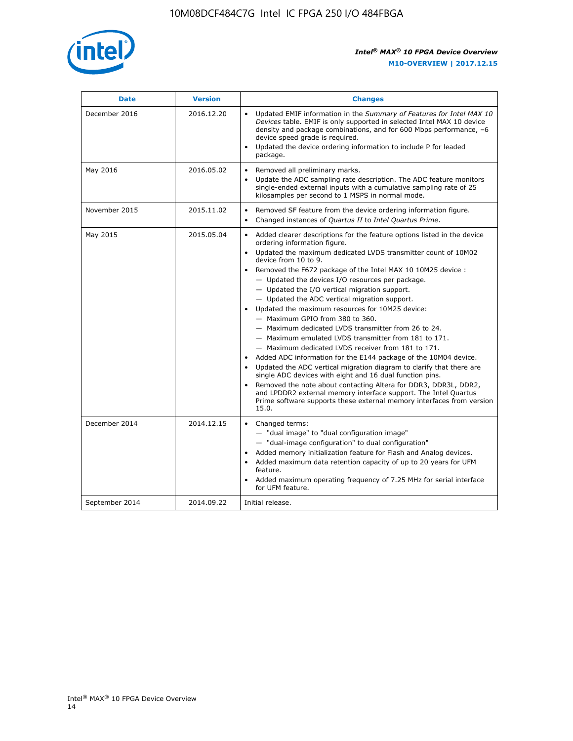

| <b>Date</b>    | <b>Version</b> | <b>Changes</b>                                                                                                                                                                                                                                                                                                                                                                                                                                                                                                                                                                                                                                                                                                                                                                                                                                                                                                                                                                                                                                                                                                                                           |
|----------------|----------------|----------------------------------------------------------------------------------------------------------------------------------------------------------------------------------------------------------------------------------------------------------------------------------------------------------------------------------------------------------------------------------------------------------------------------------------------------------------------------------------------------------------------------------------------------------------------------------------------------------------------------------------------------------------------------------------------------------------------------------------------------------------------------------------------------------------------------------------------------------------------------------------------------------------------------------------------------------------------------------------------------------------------------------------------------------------------------------------------------------------------------------------------------------|
| December 2016  | 2016.12.20     | • Updated EMIF information in the Summary of Features for Intel MAX 10<br>Devices table. EMIF is only supported in selected Intel MAX 10 device<br>density and package combinations, and for 600 Mbps performance, -6<br>device speed grade is required.<br>Updated the device ordering information to include P for leaded<br>package.                                                                                                                                                                                                                                                                                                                                                                                                                                                                                                                                                                                                                                                                                                                                                                                                                  |
| May 2016       | 2016.05.02     | Removed all preliminary marks.<br>Update the ADC sampling rate description. The ADC feature monitors<br>$\bullet$<br>single-ended external inputs with a cumulative sampling rate of 25<br>kilosamples per second to 1 MSPS in normal mode.                                                                                                                                                                                                                                                                                                                                                                                                                                                                                                                                                                                                                                                                                                                                                                                                                                                                                                              |
| November 2015  | 2015.11.02     | Removed SF feature from the device ordering information figure.<br>$\bullet$<br>Changed instances of Quartus II to Intel Quartus Prime.<br>$\bullet$                                                                                                                                                                                                                                                                                                                                                                                                                                                                                                                                                                                                                                                                                                                                                                                                                                                                                                                                                                                                     |
| May 2015       | 2015.05.04     | Added clearer descriptions for the feature options listed in the device<br>$\bullet$<br>ordering information figure.<br>Updated the maximum dedicated LVDS transmitter count of 10M02<br>$\bullet$<br>device from 10 to 9.<br>Removed the F672 package of the Intel MAX 10 10M25 device :<br>- Updated the devices I/O resources per package.<br>$-$ Updated the I/O vertical migration support.<br>- Updated the ADC vertical migration support.<br>Updated the maximum resources for 10M25 device:<br>- Maximum GPIO from 380 to 360.<br>- Maximum dedicated LVDS transmitter from 26 to 24.<br>- Maximum emulated LVDS transmitter from 181 to 171.<br>- Maximum dedicated LVDS receiver from 181 to 171.<br>Added ADC information for the E144 package of the 10M04 device.<br>$\bullet$<br>Updated the ADC vertical migration diagram to clarify that there are<br>single ADC devices with eight and 16 dual function pins.<br>Removed the note about contacting Altera for DDR3, DDR3L, DDR2,<br>and LPDDR2 external memory interface support. The Intel Quartus<br>Prime software supports these external memory interfaces from version<br>15.0. |
| December 2014  | 2014.12.15     | $\bullet$<br>Changed terms:<br>- "dual image" to "dual configuration image"<br>- "dual-image configuration" to dual configuration"<br>Added memory initialization feature for Flash and Analog devices.<br>$\bullet$<br>Added maximum data retention capacity of up to 20 years for UFM<br>$\bullet$<br>feature.<br>Added maximum operating frequency of 7.25 MHz for serial interface<br>for UFM feature.                                                                                                                                                                                                                                                                                                                                                                                                                                                                                                                                                                                                                                                                                                                                               |
| September 2014 | 2014.09.22     | Initial release.                                                                                                                                                                                                                                                                                                                                                                                                                                                                                                                                                                                                                                                                                                                                                                                                                                                                                                                                                                                                                                                                                                                                         |